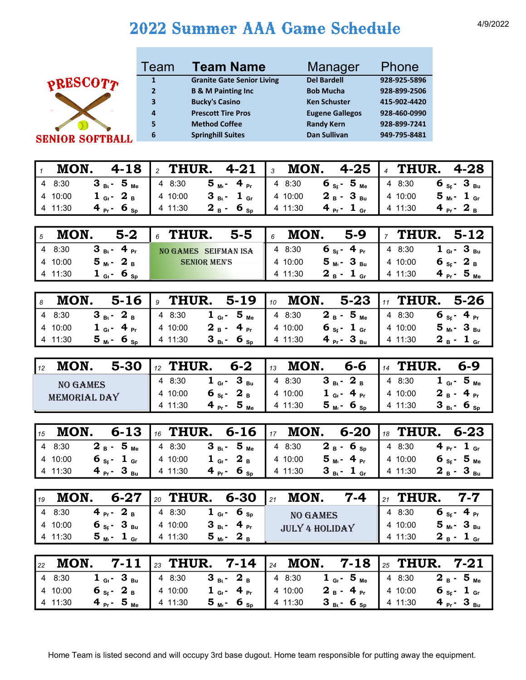## 2022 Summer AAA Game Schedule 4/9/2022



| Team           | <b>Team Name</b>                  | Manager                | Phone        |
|----------------|-----------------------------------|------------------------|--------------|
| $\mathbf{1}$   | <b>Granite Gate Senior Living</b> | <b>Del Bardell</b>     | 928-925-5896 |
| $\overline{2}$ | <b>B &amp; M Painting Inc</b>     | <b>Bob Mucha</b>       | 928-899-2506 |
| 3              | <b>Bucky's Casino</b>             | <b>Ken Schuster</b>    | 415-902-4420 |
| $\overline{a}$ | <b>Prescott Tire Pros</b>         | <b>Eugene Gallegos</b> | 928-460-0990 |
| 5              | <b>Method Coffee</b>              | <b>Randy Kern</b>      | 928-899-7241 |
| 6              | <b>Springhill Suites</b>          | <b>Dan Sullivan</b>    | 949-795-8481 |
|                |                                   |                        |              |

|             |                                           | $\frac{1}{1}$ MON. 4-18   2 THUR. 4-21   3 MON. 4-25   4 THUR. 4-28 |                               |                    |
|-------------|-------------------------------------------|---------------------------------------------------------------------|-------------------------------|--------------------|
|             |                                           |                                                                     |                               |                    |
| 4 10:00     |                                           |                                                                     |                               |                    |
| $4 \t11:30$ | 4 $_{\text{Pr}}$ 6 $_{\text{Sp}}$ 4 11:30 | $2_{B}$ - 6 <sub>Sp</sub> 4 11:30                                   | 4 $_{Pr}$ - 1 $_{Gr}$ 4 11:30 | $4_{P1}$ – $2_{R}$ |

| MON.    | $5-2$                              | $5-5$<br>$\int_{\delta}$ THUR. | MON.<br>$\overline{6}$ |                                  |         | 5-9 $\frac{1}{7}$ THUR. 5-12            |
|---------|------------------------------------|--------------------------------|------------------------|----------------------------------|---------|-----------------------------------------|
| 4 8:30  | $3_{\text{Bi}}$ - 4 $_{\text{Pr}}$ | NO GAMES SEIFMAN ISA           | $\parallel$ 4 8:30     | 6 $_{\rm Sr}$ - 4 $_{\rm Pr}$    | 48:30   | $1$ G <sub>1</sub> $-$ 3 B <sub>u</sub> |
| 4 10:00 | $5_m - 2_B$                        | <b>SENIOR MEN'S</b>            | 4 10:00                | 5 <sub>м</sub> . З <sub>ви</sub> | 4 10:00 | 6 s <sub>r</sub> - 2 <sub>B</sub>       |
| 4 11:30 | $1_{\text{G}_{1}}$ 6 <sub>Sp</sub> |                                | 4 11:30                | $2_{B}$ - 1 <sub>Gr</sub>        | 4 11:30 | $4_{pr}$ - 5 <sub>Me</sub>              |

|         |                                                      |                                      | <b>8 MON.</b> 5-16 <b>9 THUR.</b> 5-19 <b>10 MON.</b> 5-23 <b>11 THUR.</b> 5-26                                                                                                                                                                                                                                             |                  |
|---------|------------------------------------------------------|--------------------------------------|-----------------------------------------------------------------------------------------------------------------------------------------------------------------------------------------------------------------------------------------------------------------------------------------------------------------------------|------------------|
|         |                                                      |                                      | 4 8:30 <b>3</b> <sub>Bt</sub> <b>2</b> B $\begin{vmatrix} 4 & 8.30 \\ 4 & 8.30 \end{vmatrix}$ <b>1</b> <sub>Gt</sub> <b>5</b> <sub>Me</sub> $\begin{vmatrix} 4 & 8.30 \\ 4 & 8.30 \end{vmatrix}$ <b>2</b> B <b>5</b> Me $\begin{vmatrix} 4 & 8.30 \\ 4 & 8.30 \end{vmatrix}$ <b>6</b> <sub>St</sub> <b>4</b> P <sub>f</sub> |                  |
| 4 10:00 | 1 $_{\text{G}}$ - 4 $_{\text{Pr}}$ 4 10:00           |                                      | <b>2</b> <sub>B</sub> - 4 <sub>Pr</sub> 4 10:00 6 <sub>St</sub> 1 <sub>Gr</sub> 4 10:00                                                                                                                                                                                                                                     | $5M - 3Bu$       |
| 4 11:30 | $5_{\text{M} \cdot \text{}}$ 6 <sub>Sp</sub> 4 11:30 | $3_{B1}$ – 6 <sub>Sp</sub>   4 11:30 | 4 $_{\text{Pr}}$ - 3 $_{\text{Bu}}$ 4 11:30                                                                                                                                                                                                                                                                                 | $2_{B} - 1_{Gr}$ |

| MON.                            | 6-2 $13$                                                                      | MON.                                                    | 6-6 $\frac{1}{4}$ THUR.                                                         |
|---------------------------------|-------------------------------------------------------------------------------|---------------------------------------------------------|---------------------------------------------------------------------------------|
| $5 - 30$                        | $I_{12}$ THUR.                                                                |                                                         | $6 - 9$                                                                         |
| <b>NO GAMES</b><br>MEMORIAL DAY | 1 <sub>GI</sub> - 3 <sub>Bu</sub> 4 8:30<br>4 8:30<br>$6$ sr $2$ B<br>4 10:00 | $3B_{\rm B}$ - $2B_{\rm B}$<br>$1$ Gi – 4 Pr<br>4 10:00 | $1_{G_{1}}$ - 5 <sub>Me</sub><br>4 8:30<br>$2_{B}$ - 4 <sub>Pr</sub><br>4 10:00 |
|                                 | $4_{pr}$ - 5 <sub>Me</sub>                                                    | $5_{M}$ - 6 sp                                          | $3_{B1} - 6_{SD}$                                                               |
|                                 | 4 11:30                                                                       | 4 11:30                                                 | 4 11:30                                                                         |

|         |  |                                                               | $\frac{1}{15}$ MON. 6-13 $\frac{1}{16}$ THUR. 6-16 $\frac{1}{17}$ MON. 6-20 $\frac{1}{18}$ THUR. 6-23 |                                                  |
|---------|--|---------------------------------------------------------------|-------------------------------------------------------------------------------------------------------|--------------------------------------------------|
|         |  |                                                               |                                                                                                       |                                                  |
|         |  |                                                               |                                                                                                       |                                                  |
| 4 11:30 |  | $4 P_{\text{pr}}$ 3 Bu 4 11:30 $4 P_{\text{pr}}$ 6 Sp 4 11:30 | $3_{Bi}$ - 1 <sub>Gr</sub> 4 11:30                                                                    | $2\text{ }_{\text{B}}$ - $3\text{ }_{\text{Bu}}$ |

| MON.<br>19 | $6 - 27$                              | THUR.<br>20 | 6-30                                 | MON.<br>21            | $7 - 4$ | THUR.<br>21 | $7 - 7$                     |
|------------|---------------------------------------|-------------|--------------------------------------|-----------------------|---------|-------------|-----------------------------|
| 48:30      | $4_{pr}$ -<br>$2_{B}$                 | 4 8:30      | $1_{\text{G}_{1}}$ 6 $_{\text{Sp}}$  | <b>NO GAMES</b>       |         | 4 8:30      | $4_{pr}$<br>6 <sub>sr</sub> |
| 4 10:00    | $6$ s <sub>r</sub> $-3$ <sub>Bu</sub> | 410:00      | 4 $_{\text{Pr}}$<br>$3_{\text{B}}$ . | <b>JULY 4 HOLIDAY</b> |         | 4 10:00     | $5_{M}$ - $3_{Bu}$          |
| 4 11:30    | 5 <sub>м</sub> .-<br>$\perp$ Gr       | 4 11:30     | $5_m - 2_B$                          |                       |         | 4 11:30     | $2_{B}$ .<br>$\perp$ Gr     |

|         |                                             | <sub>22</sub> MON. 7-11   <sub>23</sub> THUR. 7-14   <sub>24</sub> MON. 7-18   <sub>25</sub> THUR. 7-21                                                                                                           |                                                   |                                   |
|---------|---------------------------------------------|-------------------------------------------------------------------------------------------------------------------------------------------------------------------------------------------------------------------|---------------------------------------------------|-----------------------------------|
|         |                                             |                                                                                                                                                                                                                   |                                                   |                                   |
|         |                                             | 4 10:00 $\bullet$ s <sub>s</sub> - 2 <sub>B</sub>   4 10:00 $\bullet$ 1 <sub>Gi</sub> - 4 <sub>Pr</sub>   4 10:00 $\bullet$ 2 <sub>B</sub> - 4 <sub>Pr</sub>   4 10:00 $\bullet$ s <sub>s</sub> - 1 <sub>Gr</sub> |                                                   |                                   |
| 4 11:30 | 4 $_{\text{Pr}}$ - 5 $_{\text{Me}}$ 4 11:30 | $5_{\text{M}1}$ 6 <sub>Sp</sub> 4 11:30                                                                                                                                                                           | <b>3</b> B <sub>i</sub> - 6 <sub>Sp</sub> 4 11:30 | 4 <sub>Pr</sub> - 3 <sub>Bu</sub> |